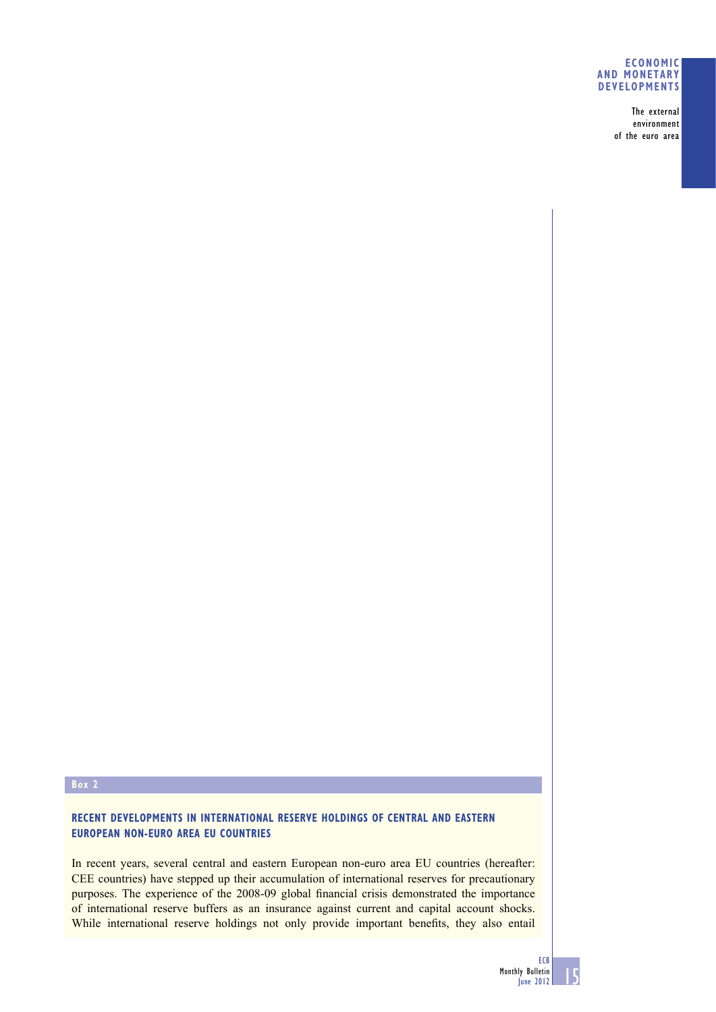### **ECONOMIC AND MONETARY DEVELOPMENTS**

The external environment of the euro area

### **Box 2**

### **RECENT DEVELOPMENTS IN INTERNATIONAL RESERVE HOLDINGS OF CENTRAL AND EASTERN EUROPEAN NON-EURO AREA EU COUNTRIES**

In recent years, several central and eastern European non-euro area EU countries (hereafter: CEE countries) have stepped up their accumulation of international reserves for precautionary purposes. The experience of the 2008-09 global financial crisis demonstrated the importance of international reserve buffers as an insurance against current and capital account shocks. While international reserve holdings not only provide important benefits, they also entail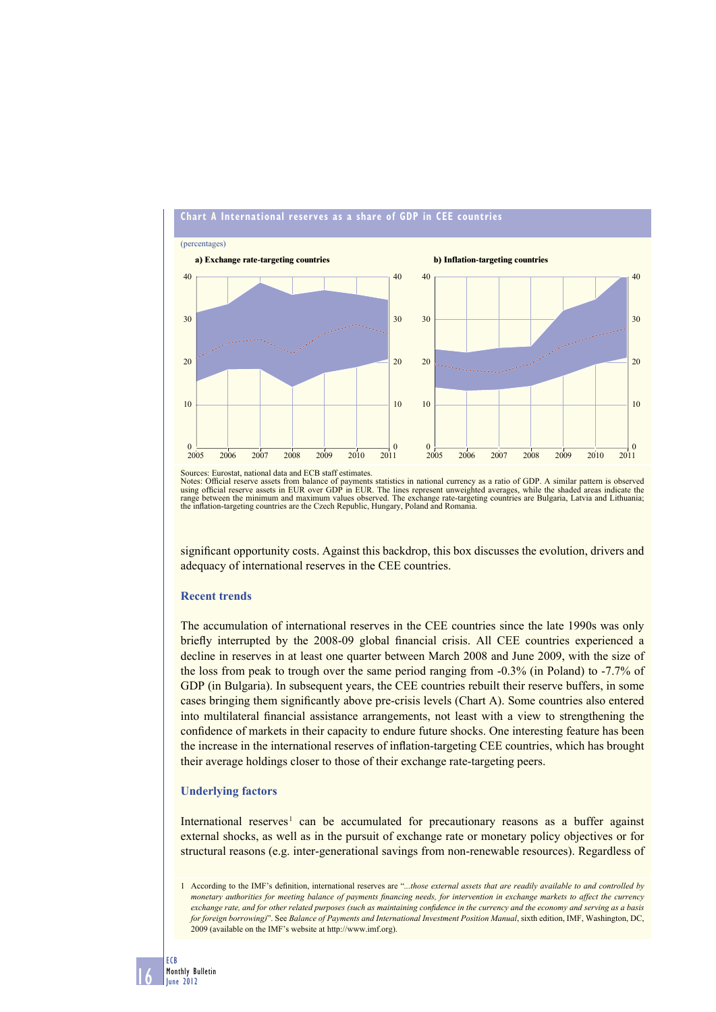

# **Chart A International reserves as a share of GDP in CEE countries**

Sources: Eurostat, national data and ECB staff estimates.

Notes: Official reserve assets from balance of payments statistics in national currency as a ratio of GDP. A similar pattern is observed<br>using official reserve assets in EUR over GDP in EUR. The lines represent unweighted range between the minimum and maximum values observed. The exchange rate-targeting countries are Bulgaria, Latvia and Lithuania; the inflation-targeting countries are the Czech Republic, Hungary, Poland and Romania.

significant opportunity costs. Against this backdrop, this box discusses the evolution, drivers and adequacy of international reserves in the CEE countries.

#### **Recent trends**

The accumulation of international reserves in the CEE countries since the late 1990s was only briefly interrupted by the 2008-09 global financial crisis. All CEE countries experienced a decline in reserves in at least one quarter between March 2008 and June 2009, with the size of the loss from peak to trough over the same period ranging from -0.3% (in Poland) to -7.7% of GDP (in Bulgaria). In subsequent years, the CEE countries rebuilt their reserve buffers, in some cases bringing them significantly above pre-crisis levels (Chart A). Some countries also entered into multilateral financial assistance arrangements, not least with a view to strengthening the confidence of markets in their capacity to endure future shocks. One interesting feature has been the increase in the international reserves of inflation-targeting CEE countries, which has brought their average holdings closer to those of their exchange rate-targeting peers.

#### **Underlying factors**

International reserves<sup>1</sup> can be accumulated for precautionary reasons as a buffer against external shocks, as well as in the pursuit of exchange rate or monetary policy objectives or for structural reasons (e.g. inter-generational savings from non-renewable resources). Regardless of

16

<sup>1</sup> According to the IMF's definition, international reserves are "...those external assets that are readily available to and controlled by monetary authorities for meeting balance of payments financing needs, for intervention in exchange markets to affect the currency *exchange rate, and for other related purposes (such as maintaining confidence in the currency and the economy and serving as a basis for foreign borrowing)*". See *Balance of Payments and International Investment Position Manual*, sixth edition, IMF, Washington, DC, 2009 (available on the IMF's website at http://www.imf.org).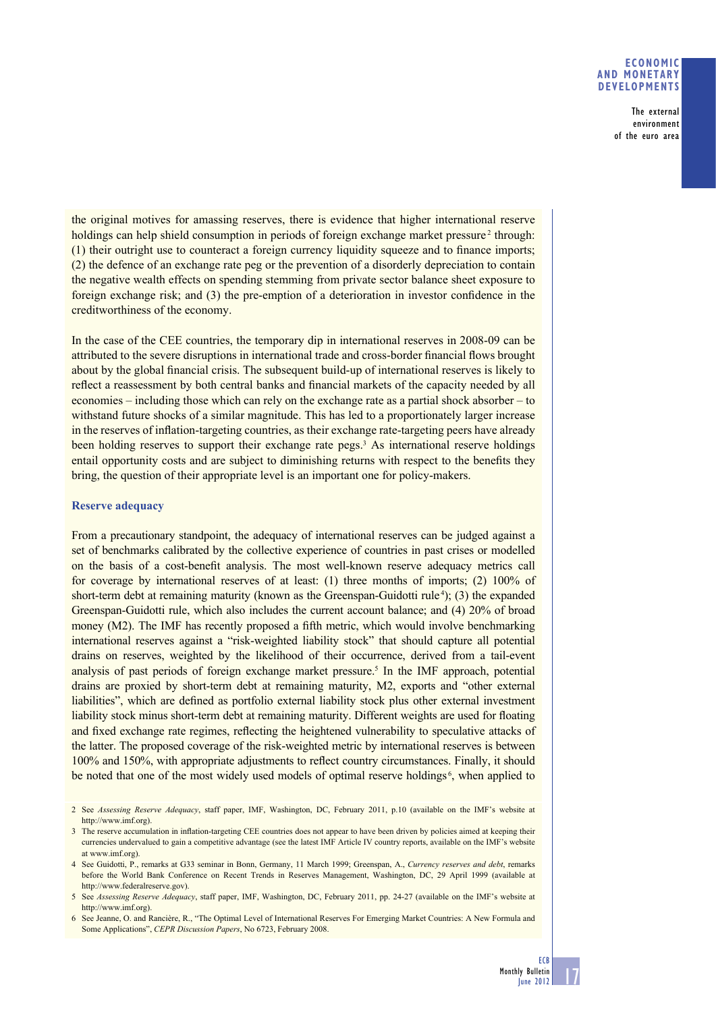### **ECONOMIC AND MONETARY DEVELOPMENTS**

The external environment of the euro area

the original motives for amassing reserves, there is evidence that higher international reserve holdings can help shield consumption in periods of foreign exchange market pressure<sup>2</sup> through:  $(1)$  their outright use to counteract a foreign currency liquidity squeeze and to finance imports; (2) the defence of an exchange rate peg or the prevention of a disorderly depreciation to contain the negative wealth effects on spending stemming from private sector balance sheet exposure to foreign exchange risk; and  $(3)$  the pre-emption of a deterioration in investor confidence in the creditworthiness of the economy.

In the case of the CEE countries, the temporary dip in international reserves in 2008-09 can be attributed to the severe disruptions in international trade and cross-border financial flows brought about by the global financial crisis. The subsequent build-up of international reserves is likely to reflect a reassessment by both central banks and financial markets of the capacity needed by all economies – including those which can rely on the exchange rate as a partial shock absorber – to withstand future shocks of a similar magnitude. This has led to a proportionately larger increase in the reserves of inflation-targeting countries, as their exchange rate-targeting peers have already been holding reserves to support their exchange rate pegs.<sup>3</sup> As international reserve holdings entail opportunity costs and are subject to diminishing returns with respect to the benefits they bring, the question of their appropriate level is an important one for policy-makers.

### **Reserve adequacy**

From a precautionary standpoint, the adequacy of international reserves can be judged against a set of benchmarks calibrated by the collective experience of countries in past crises or modelled on the basis of a cost-benefi t analysis. The most well-known reserve adequacy metrics call for coverage by international reserves of at least: (1) three months of imports; (2) 100% of short-term debt at remaining maturity (known as the Greenspan-Guidotti rule<sup>4</sup>); (3) the expanded Greenspan-Guidotti rule, which also includes the current account balance; and (4) 20% of broad money (M2). The IMF has recently proposed a fifth metric, which would involve benchmarking international reserves against a "risk-weighted liability stock" that should capture all potential drains on reserves, weighted by the likelihood of their occurrence, derived from a tail-event analysis of past periods of foreign exchange market pressure.<sup>5</sup> In the IMF approach, potential drains are proxied by short-term debt at remaining maturity, M2, exports and "other external liabilities", which are defined as portfolio external liability stock plus other external investment liability stock minus short-term debt at remaining maturity. Different weights are used for floating and fixed exchange rate regimes, reflecting the heightened vulnerability to speculative attacks of the latter. The proposed coverage of the risk-weighted metric by international reserves is between 100% and 150%, with appropriate adjustments to reflect country circumstances. Finally, it should be noted that one of the most widely used models of optimal reserve holdings<sup>6</sup>, when applied to

17

<sup>2</sup> See *Assessing Reserve Adequacy*, staff paper, IMF, Washington, DC, February 2011, p.10 (available on the IMF's website at http://www.imf.org).

<sup>3</sup> The reserve accumulation in inflation-targeting CEE countries does not appear to have been driven by policies aimed at keeping their currencies undervalued to gain a competitive advantage (see the latest IMF Article IV country reports, available on the IMF's website at www.imf.org).

<sup>4</sup> See Guidotti, P., remarks at G33 seminar in Bonn, Germany, 11 March 1999; Greenspan, A., *Currency reserves and debt*, remarks before the World Bank Conference on Recent Trends in Reserves Management, Washington, DC, 29 April 1999 (available at http://www.federalreserve.gov).

<sup>5</sup> See *Assessing Reserve Adequacy*, staff paper, IMF, Washington, DC, February 2011, pp. 24-27 (available on the IMF's website at http://www.imf.org).

<sup>6</sup> See Jeanne, O. and Rancière, R., "The Optimal Level of International Reserves For Emerging Market Countries: A New Formula and Some Applications", *CEPR Discussion Papers*, No 6723, February 2008.